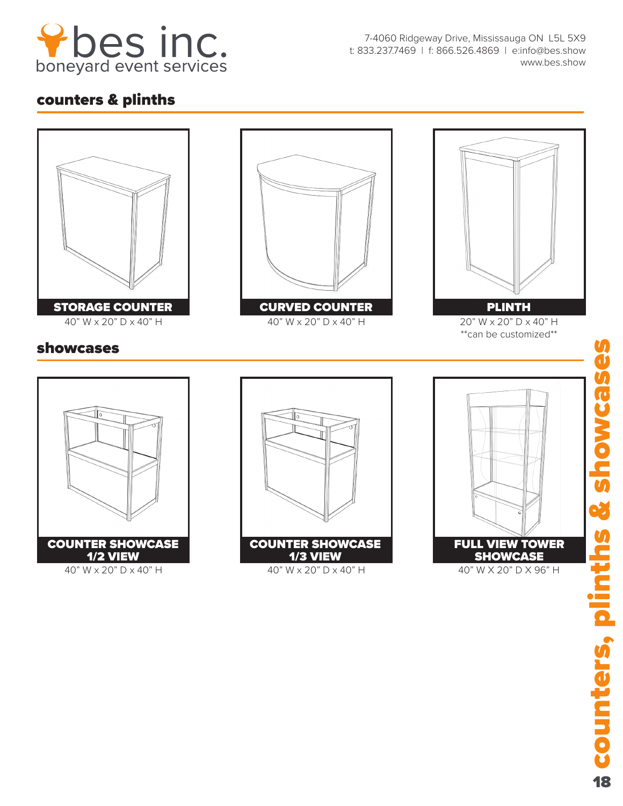

7-4060 Ridgeway Drive, Mississauga ON L5L 5X9 t: 833.237.7469 | f: 866.526.4869 | e:info@bes.show www.bes.show

## counters & plinths



18counters, plinths & showcases **unters, plinths & showcas** 18